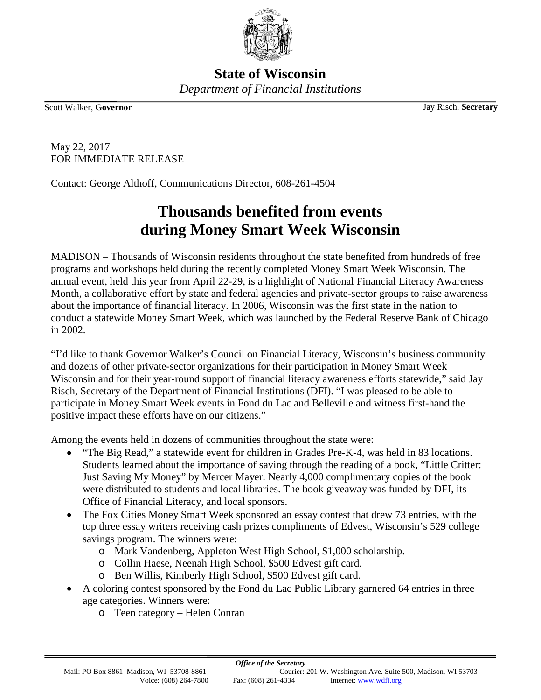

**State of Wisconsin** *Department of Financial Institutions*

Scott Walker, **Governor** Jay Risch, **Secretary**

May 22, 2017 FOR IMMEDIATE RELEASE

Contact: George Althoff, Communications Director, 608-261-4504

## **Thousands benefited from events during Money Smart Week Wisconsin**

MADISON – Thousands of Wisconsin residents throughout the state benefited from hundreds of free programs and workshops held during the recently completed Money Smart Week Wisconsin. The annual event, held this year from April 22-29, is a highlight of National Financial Literacy Awareness Month, a collaborative effort by state and federal agencies and private-sector groups to raise awareness about the importance of financial literacy. In 2006, Wisconsin was the first state in the nation to conduct a statewide Money Smart Week, which was launched by the Federal Reserve Bank of Chicago in 2002.

"I'd like to thank Governor Walker's Council on Financial Literacy, Wisconsin's business community and dozens of other private-sector organizations for their participation in Money Smart Week Wisconsin and for their year-round support of financial literacy awareness efforts statewide," said Jay Risch, Secretary of the Department of Financial Institutions (DFI). "I was pleased to be able to participate in Money Smart Week events in Fond du Lac and Belleville and witness first-hand the positive impact these efforts have on our citizens."

Among the events held in dozens of communities throughout the state were:

- "The Big Read," a statewide event for children in Grades Pre-K-4, was held in 83 locations. Students learned about the importance of saving through the reading of a book, "Little Critter: Just Saving My Money" by Mercer Mayer. Nearly 4,000 complimentary copies of the book were distributed to students and local libraries. The book giveaway was funded by DFI, its Office of Financial Literacy, and local sponsors.
- The Fox Cities Money Smart Week sponsored an essay contest that drew 73 entries, with the top three essay writers receiving cash prizes compliments of Edvest, Wisconsin's 529 college savings program. The winners were:
	- o Mark Vandenberg, Appleton West High School, \$1,000 scholarship.
	- o Collin Haese, Neenah High School, \$500 Edvest gift card.
	- o Ben Willis, Kimberly High School, \$500 Edvest gift card.
- A coloring contest sponsored by the Fond du Lac Public Library garnered 64 entries in three age categories. Winners were:
	- o Teen category Helen Conran